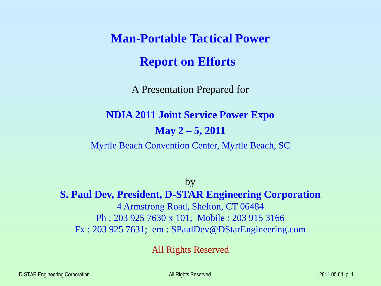**Man-Portable Tactical Power Report on Efforts**

A Presentation Prepared for

**NDIA 2011 Joint Service Power Expo**

**May 2 – 5, 2011**

Myrtle Beach Convention Center, Myrtle Beach, SC

by **S. Paul Dev, President, D-STAR Engineering Corporation** 4 Armstrong Road, Shelton, CT 06484 Ph : 203 925 7630 x 101; Mobile : 203 915 3166 Fx : 203 925 7631; em : SPaulDev@DStarEngineering.com

All Rights Reserved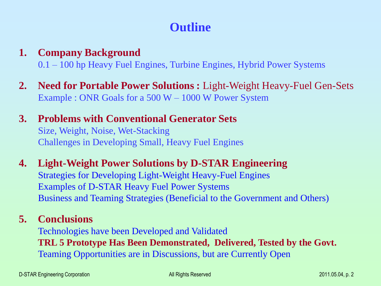# **Outline**

## **1. Company Background** 0.1 – 100 hp Heavy Fuel Engines, Turbine Engines, Hybrid Power Systems

**2. Need for Portable Power Solutions :** Light-Weight Heavy-Fuel Gen-Sets Example : ONR Goals for a 500 W – 1000 W Power System

## **3. Problems with Conventional Generator Sets** Size, Weight, Noise, Wet-Stacking Challenges in Developing Small, Heavy Fuel Engines

**4. Light-Weight Power Solutions by D-STAR Engineering** Strategies for Developing Light-Weight Heavy-Fuel Engines Examples of D-STAR Heavy Fuel Power Systems Business and Teaming Strategies (Beneficial to the Government and Others)

## **5. Conclusions**

Technologies have been Developed and Validated **TRL 5 Prototype Has Been Demonstrated, Delivered, Tested by the Govt.** Teaming Opportunities are in Discussions, but are Currently Open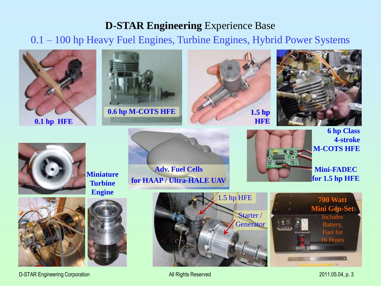### **D-STAR Engineering** Experience Base

0.1 – 100 hp Heavy Fuel Engines, Turbine Engines, Hybrid Power Systems



D-STAR Engineering Corporation and the contract of the All Rights Reserved 2011.05.04, p. 3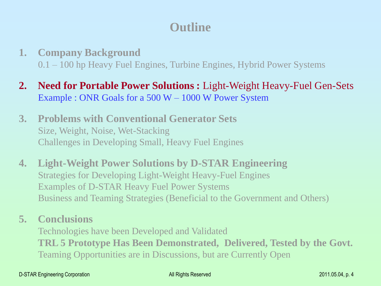# **Outline**

- **1. Company Background** 0.1 – 100 hp Heavy Fuel Engines, Turbine Engines, Hybrid Power Systems
- **2. Need for Portable Power Solutions :** Light-Weight Heavy-Fuel Gen-Sets Example : ONR Goals for a 500 W – 1000 W Power System
- **3. Problems with Conventional Generator Sets** Size, Weight, Noise, Wet-Stacking Challenges in Developing Small, Heavy Fuel Engines
- **4. Light-Weight Power Solutions by D-STAR Engineering** Strategies for Developing Light-Weight Heavy-Fuel Engines Examples of D-STAR Heavy Fuel Power Systems Business and Teaming Strategies (Beneficial to the Government and Others)
- **5. Conclusions**

Technologies have been Developed and Validated **TRL 5 Prototype Has Been Demonstrated, Delivered, Tested by the Govt.** Teaming Opportunities are in Discussions, but are Currently Open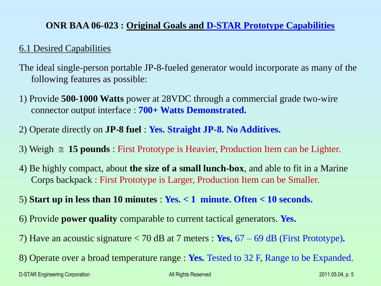### **ONR BAA 06-023 : Original Goals and D-STAR Prototype Capabilities**

#### 6.1 Desired Capabilities

- The ideal single-person portable JP-8-fueled generator would incorporate as many of the following features as possible:
- 1) Provide **500-1000 Watts** power at 28VDC through a commercial grade two-wire connector output interface : **700+ Watts Demonstrated.**
- 2) Operate directly on **JP-8 fuel** : **Yes. Straight JP-8. No Additives.**
- 3) Weigh  $\approx$  15 pounds : First Prototype is Heavier, Production Item can be Lighter.
- 4) Be highly compact, about **the size of a small lunch-box**, and able to fit in a Marine Corps backpack : First Prototype is Larger, Production Item can be Smaller.

#### 5) **Start up in less than 10 minutes** : **Yes. < 1 minute. Often < 10 seconds.**

- 6) Provide **power quality** comparable to current tactical generators. **Yes.**
- 7) Have an acoustic signature < 70 dB at 7 meters : **Yes,** 67 69 dB (First Prototype)**.**
- 8) Operate over a broad temperature range : **Yes.** Tested to 32 F, Range to be Expanded.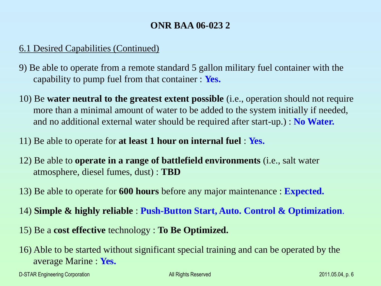### **ONR BAA 06-023 2**

### 6.1 Desired Capabilities (Continued)

- 9) Be able to operate from a remote standard 5 gallon military fuel container with the capability to pump fuel from that container : **Yes.**
- 10) Be **water neutral to the greatest extent possible** (i.e., operation should not require more than a minimal amount of water to be added to the system initially if needed, and no additional external water should be required after start-up.) : **No Water.**
- 11) Be able to operate for **at least 1 hour on internal fuel** : **Yes.**
- 12) Be able to **operate in a range of battlefield environments** (i.e., salt water atmosphere, diesel fumes, dust) : **TBD**
- 13) Be able to operate for **600 hours** before any major maintenance : **Expected.**
- 14) **Simple & highly reliable** : **Push-Button Start, Auto. Control & Optimization**.
- 15) Be a **cost effective** technology : **To Be Optimized.**
- 16) Able to be started without significant special training and can be operated by the average Marine : **Yes.**

D-STAR Engineering Corporation All Rights Reserved 2011.05.04, p. 6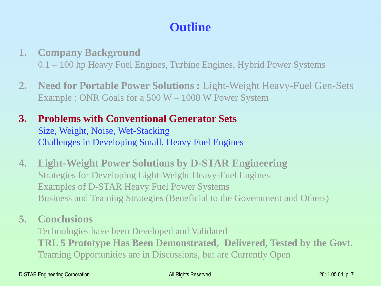# **Outline**

- **1. Company Background** 0.1 – 100 hp Heavy Fuel Engines, Turbine Engines, Hybrid Power Systems
- **2. Need for Portable Power Solutions :** Light-Weight Heavy-Fuel Gen-Sets Example : ONR Goals for a 500 W – 1000 W Power System
- **3. Problems with Conventional Generator Sets** Size, Weight, Noise, Wet-Stacking Challenges in Developing Small, Heavy Fuel Engines
- **4. Light-Weight Power Solutions by D-STAR Engineering** Strategies for Developing Light-Weight Heavy-Fuel Engines Examples of D-STAR Heavy Fuel Power Systems Business and Teaming Strategies (Beneficial to the Government and Others)
- **5. Conclusions**

Technologies have been Developed and Validated **TRL 5 Prototype Has Been Demonstrated, Delivered, Tested by the Govt.** Teaming Opportunities are in Discussions, but are Currently Open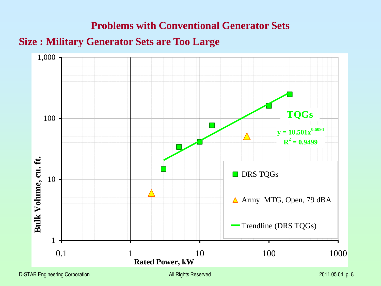## **Problems with Conventional Generator Sets**

## **Size : Military Generator Sets are Too Large**

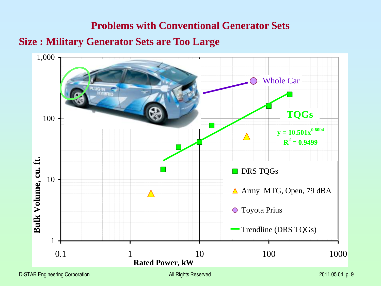# **Problems with Conventional Generator Sets Size : Military Generator Sets are Too Large**



D-STAR Engineering Corporation **Computer Contains Computer Contains All Rights Reserved** 2011.05.04, p. 9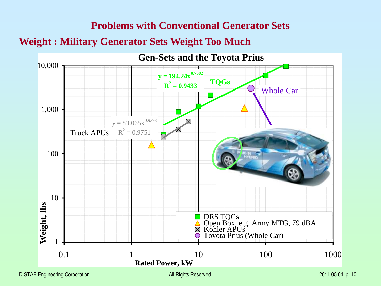# **Problems with Conventional Generator Sets Weight : Military Generator Sets Weight Too Much**

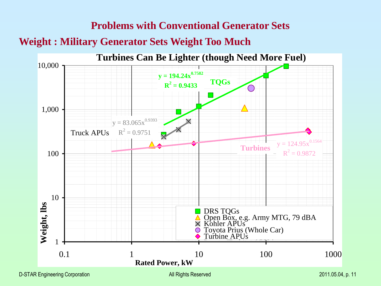# **Problems with Conventional Generator Sets Weight : Military Generator Sets Weight Too Much**

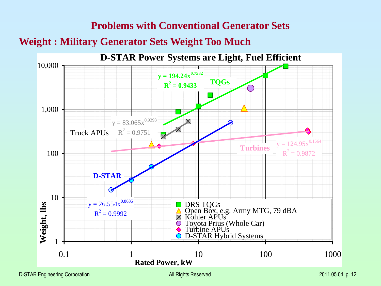# **Problems with Conventional Generator Sets Weight : Military Generator Sets Weight Too Much**



D-STAR Engineering Corporation All Rights Reserved 2011.05.04, p. 12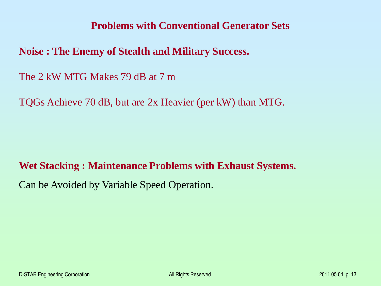### **Problems with Conventional Generator Sets**

**Noise : The Enemy of Stealth and Military Success.**

The 2 kW MTG Makes 79 dB at 7 m

TQGs Achieve 70 dB, but are 2x Heavier (per kW) than MTG.

**Wet Stacking : Maintenance Problems with Exhaust Systems.**

Can be Avoided by Variable Speed Operation.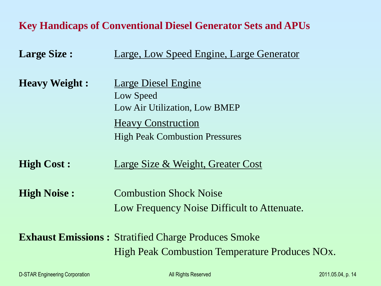# **Key Handicaps of Conventional Diesel Generator Sets and APUs**

| <b>Large Size:</b>   | Large, Low Speed Engine, Large Generator                           |
|----------------------|--------------------------------------------------------------------|
| <b>Heavy Weight:</b> | Large Diesel Engine<br>Low Speed<br>Low Air Utilization, Low BMEP  |
|                      | <b>Heavy Construction</b><br><b>High Peak Combustion Pressures</b> |
| <b>High Cost:</b>    | Large Size & Weight, Greater Cost                                  |
| <b>High Noise:</b>   | <b>Combustion Shock Noise</b>                                      |
|                      | Low Frequency Noise Difficult to Attenuate.                        |
|                      | <b>Exhaust Emissions: Stratified Charge Produces Smoke</b>         |
|                      | High Peak Combustion Temperature Produces NO <sub>x</sub> .        |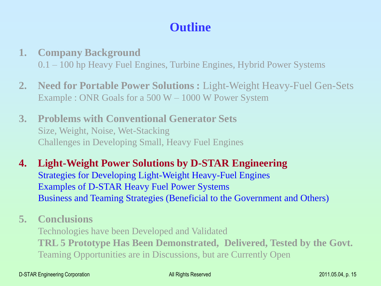# **Outline**

- **1. Company Background** 0.1 – 100 hp Heavy Fuel Engines, Turbine Engines, Hybrid Power Systems
- **2. Need for Portable Power Solutions :** Light-Weight Heavy-Fuel Gen-Sets Example : ONR Goals for a 500 W – 1000 W Power System
- **3. Problems with Conventional Generator Sets** Size, Weight, Noise, Wet-Stacking Challenges in Developing Small, Heavy Fuel Engines
- **4. Light-Weight Power Solutions by D-STAR Engineering** Strategies for Developing Light-Weight Heavy-Fuel Engines Examples of D-STAR Heavy Fuel Power Systems Business and Teaming Strategies (Beneficial to the Government and Others)
- **5. Conclusions**

Technologies have been Developed and Validated **TRL 5 Prototype Has Been Demonstrated, Delivered, Tested by the Govt.** Teaming Opportunities are in Discussions, but are Currently Open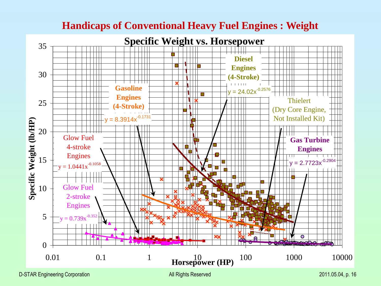

### **Handicaps of Conventional Heavy Fuel Engines : Weight**

D-STAR Engineering Corporation and the contract of the All Rights Reserved 2011.05.04, p. 16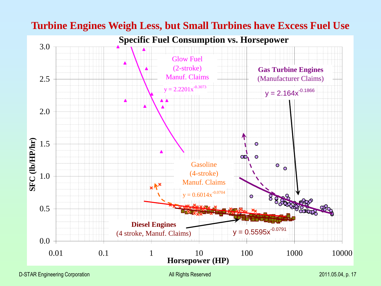

### **Turbine Engines Weigh Less, but Small Turbines have Excess Fuel Use**

D-STAR Engineering Corporation **All Rights Reserved All Rights Reserved** 2011.05.04, p. 17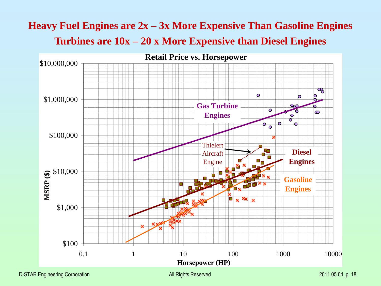# **Heavy Fuel Engines are 2x – 3x More Expensive Than Gasoline Engines Turbines are 10x – 20 x More Expensive than Diesel Engines**

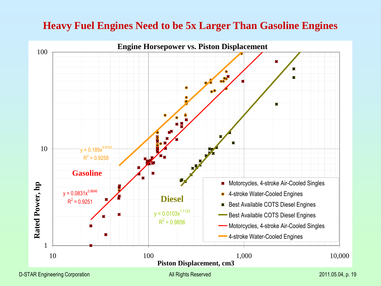## **Heavy Fuel Engines Need to be 5x Larger Than Gasoline Engines**



D-STAR Engineering Corporation and the Corporation Corporation All Rights Reserved 2011.05.04, p. 19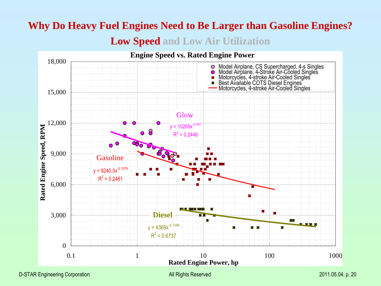# **Why Do Heavy Fuel Engines Need to Be Larger than Gasoline Engines? Low Speed and Low Air Utilization**

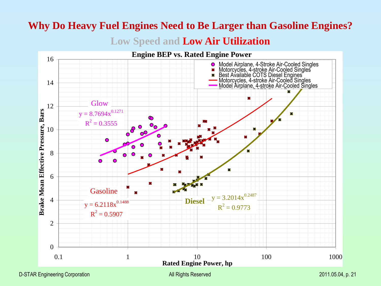# **Why Do Heavy Fuel Engines Need to Be Larger than Gasoline Engines?**

**Low Speed and Low Air Utilization**

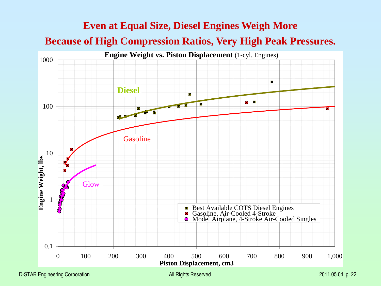# **Even at Equal Size, Diesel Engines Weigh More Because of High Compression Ratios, Very High Peak Pressures.**



D-STAR Engineering Corporation and the contract of the All Rights Reserved 2011.05.04, p. 22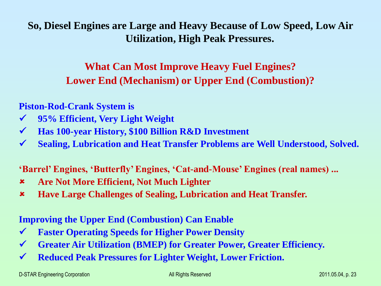**So, Diesel Engines are Large and Heavy Because of Low Speed, Low Air Utilization, High Peak Pressures.**

> **What Can Most Improve Heavy Fuel Engines? Lower End (Mechanism) or Upper End (Combustion)?**

**Piston-Rod-Crank System is** 

- **95% Efficient, Very Light Weight**
- **Has 100-year History, \$100 Billion R&D Investment**
- **Sealing, Lubrication and Heat Transfer Problems are Well Understood, Solved.**

**'Barrel' Engines, 'Butterfly' Engines, 'Cat-and-Mouse' Engines (real names) ...**

- **Are Not More Efficient, Not Much Lighter**
- **Have Large Challenges of Sealing, Lubrication and Heat Transfer.**

**Improving the Upper End (Combustion) Can Enable**

- **Faster Operating Speeds for Higher Power Density**
- **Greater Air Utilization (BMEP) for Greater Power, Greater Efficiency.**
- **Reduced Peak Pressures for Lighter Weight, Lower Friction.**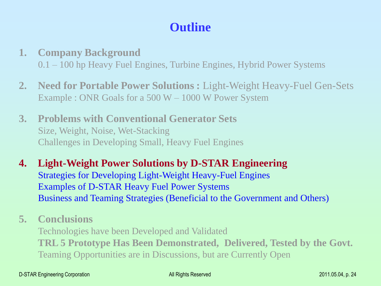# **Outline**

- **1. Company Background** 0.1 – 100 hp Heavy Fuel Engines, Turbine Engines, Hybrid Power Systems
- **2. Need for Portable Power Solutions :** Light-Weight Heavy-Fuel Gen-Sets Example : ONR Goals for a 500 W – 1000 W Power System
- **3. Problems with Conventional Generator Sets** Size, Weight, Noise, Wet-Stacking Challenges in Developing Small, Heavy Fuel Engines
- **4. Light-Weight Power Solutions by D-STAR Engineering** Strategies for Developing Light-Weight Heavy-Fuel Engines Examples of D-STAR Heavy Fuel Power Systems Business and Teaming Strategies (Beneficial to the Government and Others)
- **5. Conclusions**

Technologies have been Developed and Validated **TRL 5 Prototype Has Been Demonstrated, Delivered, Tested by the Govt.** Teaming Opportunities are in Discussions, but are Currently Open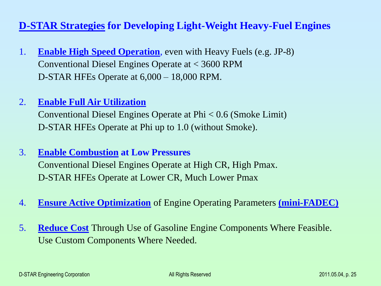### **D-STAR Strategies for Developing Light-Weight Heavy-Fuel Engines**

- 1. **Enable High Speed Operation**, even with Heavy Fuels (e.g. JP-8) Conventional Diesel Engines Operate at < 3600 RPM D-STAR HFEs Operate at 6,000 – 18,000 RPM.
- 2. **Enable Full Air Utilization**

Conventional Diesel Engines Operate at Phi < 0.6 (Smoke Limit) D-STAR HFEs Operate at Phi up to 1.0 (without Smoke).

- 3. **Enable Combustion at Low Pressures** Conventional Diesel Engines Operate at High CR, High Pmax. D-STAR HFEs Operate at Lower CR, Much Lower Pmax
- 4. **Ensure Active Optimization** of Engine Operating Parameters **(mini-FADEC)**
- 5. **Reduce Cost** Through Use of Gasoline Engine Components Where Feasible. Use Custom Components Where Needed.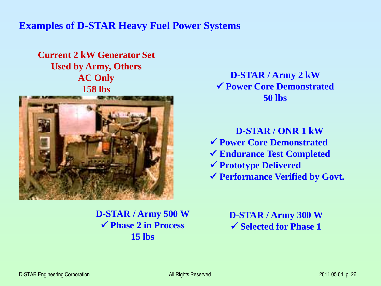### **Examples of D-STAR Heavy Fuel Power Systems**

**Current 2 kW Generator Set Used by Army, Others AC Only 158 lbs**



**D-STAR / Army 2 kW Power Core Demonstrated 50 lbs**

**D-STAR / ONR 1 kW Power Core Demonstrated Endurance Test Completed Prototype Delivered Performance Verified by Govt.**

**D-STAR / Army 500 W Phase 2 in Process 15 lbs**

**D-STAR / Army 300 W Selected for Phase 1**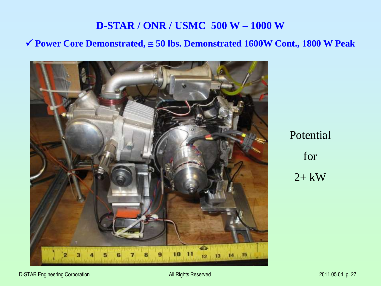## **D-STAR / ONR / USMC 500 W – 1000 W**

#### **Power Core Demonstrated, 50 lbs. Demonstrated 1600W Cont., 1800 W Peak**



Potential for  $2+$  kW

D-STAR Engineering Corporation and the control of the All Rights Reserved 2011.05.04, p. 27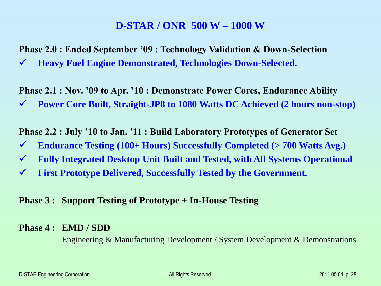### **D-STAR / ONR 500 W – 1000 W**

**Phase 2.0 : Ended September '09 : Technology Validation & Down-Selection**

**Heavy Fuel Engine Demonstrated, Technologies Down-Selected.**

**Phase 2.1 : Nov. '09 to Apr. '10 : Demonstrate Power Cores, Endurance Ability Power Core Built, Straight-JP8 to 1080 Watts DC Achieved (2 hours non-stop)**

**Phase 2.2 : July '10 to Jan. '11 : Build Laboratory Prototypes of Generator Set**

- **Endurance Testing (100+ Hours) Successfully Completed (> 700 Watts Avg.)**
- **Fully Integrated Desktop Unit Built and Tested, with All Systems Operational**
- **First Prototype Delivered, Successfully Tested by the Government.**

#### **Phase 3 : Support Testing of Prototype + In-House Testing**

#### **Phase 4 : EMD / SDD**

Engineering & Manufacturing Development / System Development & Demonstrations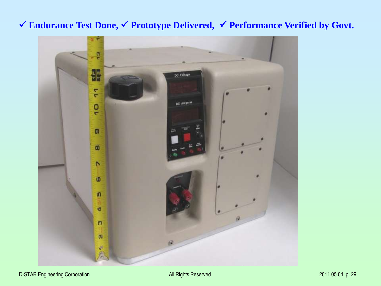# **Endurance Test Done, Prototype Delivered, Performance Verified by Govt.**

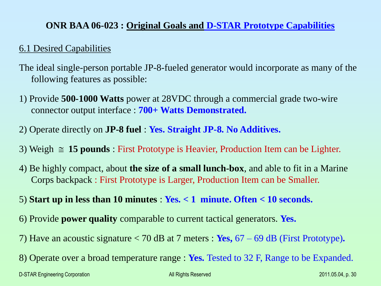### **ONR BAA 06-023 : Original Goals and D-STAR Prototype Capabilities**

#### 6.1 Desired Capabilities

- The ideal single-person portable JP-8-fueled generator would incorporate as many of the following features as possible:
- 1) Provide **500-1000 Watts** power at 28VDC through a commercial grade two-wire connector output interface : **700+ Watts Demonstrated.**
- 2) Operate directly on **JP-8 fuel** : **Yes. Straight JP-8. No Additives.**
- 3) Weigh  $\approx$  15 pounds : First Prototype is Heavier, Production Item can be Lighter.
- 4) Be highly compact, about **the size of a small lunch-box**, and able to fit in a Marine Corps backpack : First Prototype is Larger, Production Item can be Smaller.
- 5) **Start up in less than 10 minutes** : **Yes. < 1 minute. Often < 10 seconds.**
- 6) Provide **power quality** comparable to current tactical generators. **Yes.**
- 7) Have an acoustic signature < 70 dB at 7 meters : **Yes,** 67 69 dB (First Prototype)**.**
- 8) Operate over a broad temperature range : **Yes.** Tested to 32 F, Range to be Expanded.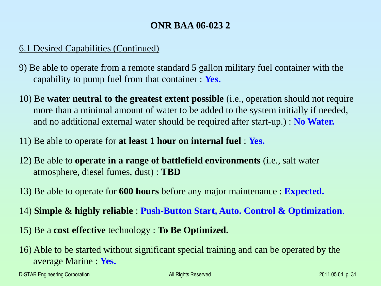### **ONR BAA 06-023 2**

### 6.1 Desired Capabilities (Continued)

- 9) Be able to operate from a remote standard 5 gallon military fuel container with the capability to pump fuel from that container : **Yes.**
- 10) Be **water neutral to the greatest extent possible** (i.e., operation should not require more than a minimal amount of water to be added to the system initially if needed, and no additional external water should be required after start-up.) : **No Water.**
- 11) Be able to operate for **at least 1 hour on internal fuel** : **Yes.**
- 12) Be able to **operate in a range of battlefield environments** (i.e., salt water atmosphere, diesel fumes, dust) : **TBD**
- 13) Be able to operate for **600 hours** before any major maintenance : **Expected.**
- 14) **Simple & highly reliable** : **Push-Button Start, Auto. Control & Optimization**.
- 15) Be a **cost effective** technology : **To Be Optimized.**
- 16) Able to be started without significant special training and can be operated by the average Marine : **Yes.**

D-STAR Engineering Corporation All Rights Reserved 2011.05.04, p. 31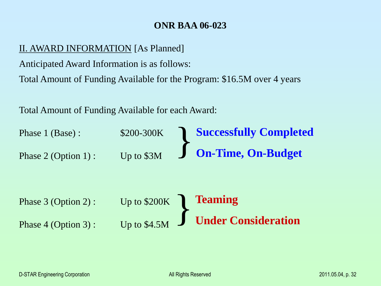### **ONR BAA 06-023**

#### II. AWARD INFORMATION [As Planned]

Anticipated Award Information is as follows:

Total Amount of Funding Available for the Program: \$16.5M over 4 years

Total Amount of Funding Available for each Award:

| Phase 1 (Base):<br>Phase $2$ (Option 1): | \$200-300K<br>Up to \$3M | <b>Successfully Completed</b><br><b>On-Time, On-Budget</b> |
|------------------------------------------|--------------------------|------------------------------------------------------------|
| Phase $3$ (Option 2):                    | Up to $$200K$            | <b>Teaming</b>                                             |
| Phase $4$ (Option 3):                    | Up to $$4.5M$            | <b>Under Consideration</b>                                 |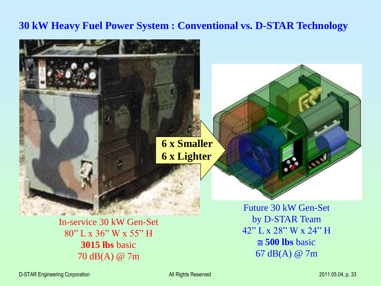## **30 kW Heavy Fuel Power System : Conventional vs. D-STAR Technology**



In-service 30 kW Gen-Set 80" L x 36" W x 55" H **3015 lbs** basic 70 dB(A) @ 7m

by D-STAR Team 42" L x 28" W x 24" H  $\approx$  500 lbs basic 67 dB(A) @ 7m

D-STAR Engineering Corporation All Rights Reserved 2011.05.04, p. 33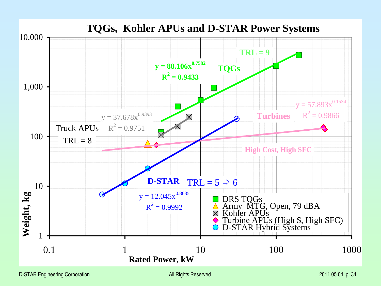

D-STAR Engineering Corporation All Rights Reserved 2011.05.04, p. 34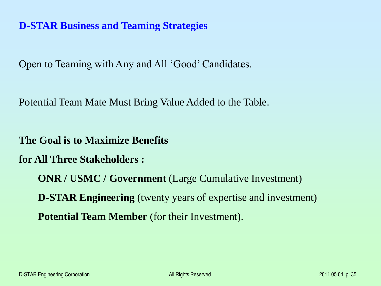## **D-STAR Business and Teaming Strategies**

Open to Teaming with Any and All 'Good' Candidates.

Potential Team Mate Must Bring Value Added to the Table.

**The Goal is to Maximize Benefits**

**for All Three Stakeholders :**

**ONR / USMC / Government** (Large Cumulative Investment) **D-STAR Engineering** (twenty years of expertise and investment) **Potential Team Member** (for their Investment).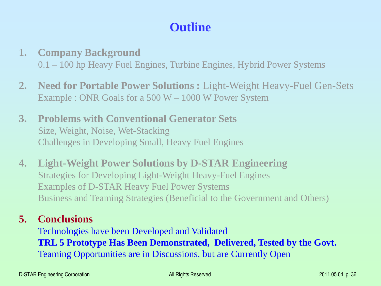# **Outline**

- **1. Company Background** 0.1 – 100 hp Heavy Fuel Engines, Turbine Engines, Hybrid Power Systems
- **2. Need for Portable Power Solutions :** Light-Weight Heavy-Fuel Gen-Sets Example : ONR Goals for a 500 W – 1000 W Power System
- **3. Problems with Conventional Generator Sets** Size, Weight, Noise, Wet-Stacking Challenges in Developing Small, Heavy Fuel Engines
- **4. Light-Weight Power Solutions by D-STAR Engineering** Strategies for Developing Light-Weight Heavy-Fuel Engines Examples of D-STAR Heavy Fuel Power Systems Business and Teaming Strategies (Beneficial to the Government and Others)

### **5. Conclusions**

Technologies have been Developed and Validated **TRL 5 Prototype Has Been Demonstrated, Delivered, Tested by the Govt.** Teaming Opportunities are in Discussions, but are Currently Open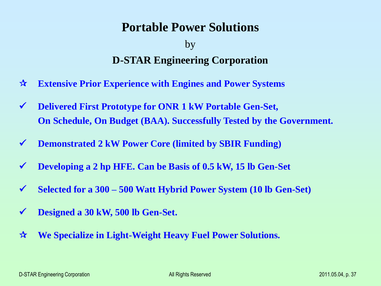# **Portable Power Solutions**

# by **D-STAR Engineering Corporation**

- **Extensive Prior Experience with Engines and Power Systems**
- **Delivered First Prototype for ONR 1 kW Portable Gen-Set, On Schedule, On Budget (BAA). Successfully Tested by the Government.**
- **Demonstrated 2 kW Power Core (limited by SBIR Funding)**
- **Developing a 2 hp HFE. Can be Basis of 0.5 kW, 15 lb Gen-Set**
- **Selected for a 300 – 500 Watt Hybrid Power System (10 lb Gen-Set)**
- **Designed a 30 kW, 500 lb Gen-Set.**
- **We Specialize in Light-Weight Heavy Fuel Power Solutions.**